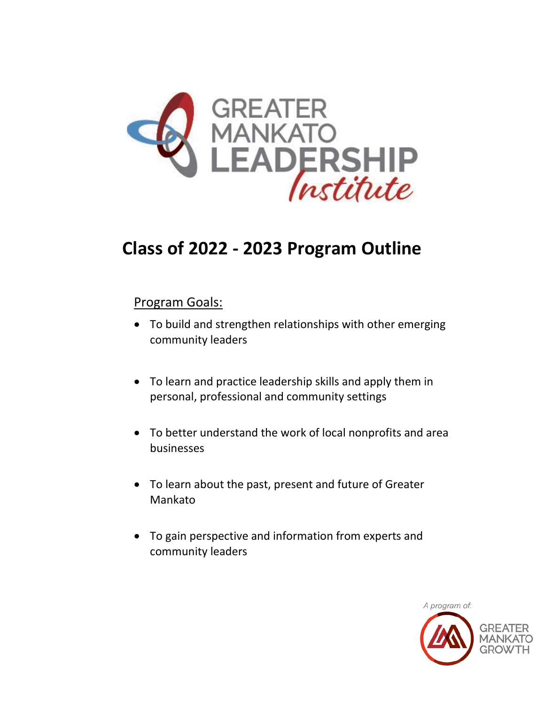

# **Class of 2022 - 2023 Program Outline**

### Program Goals:

- To build and strengthen relationships with other emerging community leaders
- To learn and practice leadership skills and apply them in personal, professional and community settings
- To better understand the work of local nonprofits and area businesses
- To learn about the past, present and future of Greater Mankato
- To gain perspective and information from experts and community leaders

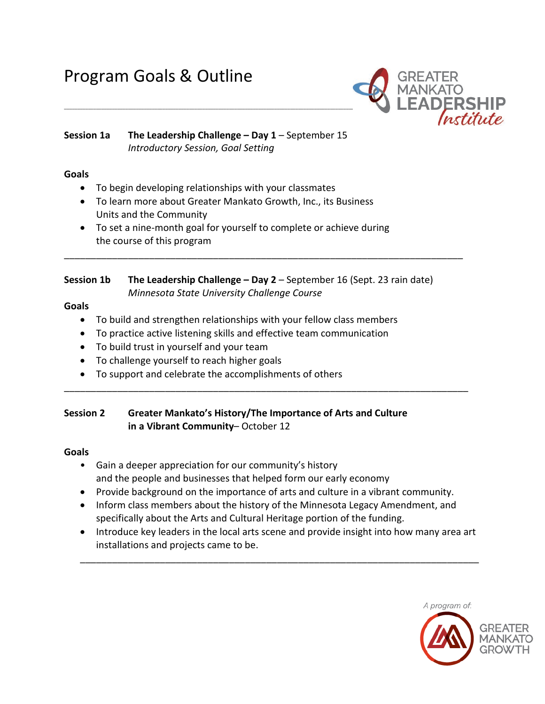## Program Goals & Outline



#### **Session 1a The Leadership Challenge – Day 1** – September 15 *Introductory Session, Goal Setting*

#### **Goals**

- To begin developing relationships with your classmates
- To learn more about Greater Mankato Growth, Inc., its Business Units and the Community
- To set a nine-month goal for yourself to complete or achieve during the course of this program

## **Session 1b The Leadership Challenge – Day 2** – September 16 (Sept. 23 rain date)

\_\_\_\_\_\_\_\_\_\_\_\_\_\_\_\_\_\_\_\_\_\_\_\_\_\_\_\_\_\_\_\_\_\_\_\_\_\_\_\_\_\_\_\_\_\_\_\_\_\_\_\_\_\_\_\_\_\_\_\_\_\_\_\_\_\_\_\_\_\_\_\_\_\_\_

*Minnesota State University Challenge Course* 

#### **Goals**

- To build and strengthen relationships with your fellow class members
- To practice active listening skills and effective team communication
- To build trust in yourself and your team
- To challenge yourself to reach higher goals
- To support and celebrate the accomplishments of others

#### **Session 2 Greater Mankato's History/The Importance of Arts and Culture in a Vibrant Community**– October 12

#### **Goals**

- Gain a deeper appreciation for our community's history and the people and businesses that helped form our early economy
- Provide background on the importance of arts and culture in a vibrant community.

\_\_\_\_\_\_\_\_\_\_\_\_\_\_\_\_\_\_\_\_\_\_\_\_\_\_\_\_\_\_\_\_\_\_\_\_\_\_\_\_\_\_\_\_\_\_\_\_\_\_\_\_\_\_\_\_\_\_\_\_\_\_\_\_\_\_\_\_\_\_\_\_\_\_\_\_

- Inform class members about the history of the Minnesota Legacy Amendment, and specifically about the Arts and Cultural Heritage portion of the funding.
- Introduce key leaders in the local arts scene and provide insight into how many area art installations and projects came to be.

\_\_\_\_\_\_\_\_\_\_\_\_\_\_\_\_\_\_\_\_\_\_\_\_\_\_\_\_\_\_\_\_\_\_\_\_\_\_\_\_\_\_\_\_\_\_\_\_\_\_\_\_\_\_\_\_\_\_\_\_\_\_\_\_\_\_\_\_\_\_\_\_\_\_\_

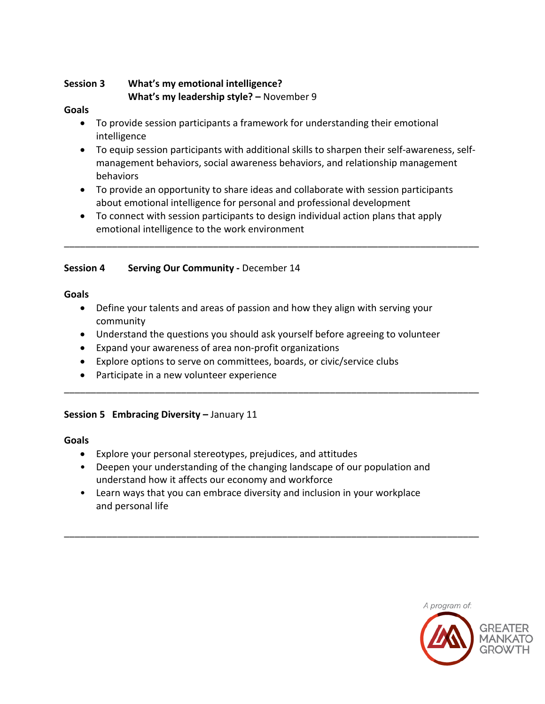#### **Session 3 What's my emotional intelligence? What's my leadership style? –** November 9

#### **Goals**

- To provide session participants a framework for understanding their emotional intelligence
- To equip session participants with additional skills to sharpen their self-awareness, selfmanagement behaviors, social awareness behaviors, and relationship management behaviors
- To provide an opportunity to share ideas and collaborate with session participants about emotional intelligence for personal and professional development

\_\_\_\_\_\_\_\_\_\_\_\_\_\_\_\_\_\_\_\_\_\_\_\_\_\_\_\_\_\_\_\_\_\_\_\_\_\_\_\_\_\_\_\_\_\_\_\_\_\_\_\_\_\_\_\_\_\_\_\_\_\_\_\_\_\_\_\_\_\_\_\_\_\_\_\_\_\_

• To connect with session participants to design individual action plans that apply emotional intelligence to the work environment

#### **Session 4 Serving Our Community -** December 14

**Goals**

- Define your talents and areas of passion and how they align with serving your community
- Understand the questions you should ask yourself before agreeing to volunteer

\_\_\_\_\_\_\_\_\_\_\_\_\_\_\_\_\_\_\_\_\_\_\_\_\_\_\_\_\_\_\_\_\_\_\_\_\_\_\_\_\_\_\_\_\_\_\_\_\_\_\_\_\_\_\_\_\_\_\_\_\_\_\_\_\_\_\_\_\_\_\_\_\_\_\_\_\_\_

- Expand your awareness of area non-profit organizations
- Explore options to serve on committees, boards, or civic/service clubs
- Participate in a new volunteer experience

#### **Session 5 Embracing Diversity –** January 11

#### **Goals**

- Explore your personal stereotypes, prejudices, and attitudes
- Deepen your understanding of the changing landscape of our population and understand how it affects our economy and workforce

\_\_\_\_\_\_\_\_\_\_\_\_\_\_\_\_\_\_\_\_\_\_\_\_\_\_\_\_\_\_\_\_\_\_\_\_\_\_\_\_\_\_\_\_\_\_\_\_\_\_\_\_\_\_\_\_\_\_\_\_\_\_\_\_\_\_\_\_\_\_\_\_\_\_\_\_\_\_

• Learn ways that you can embrace diversity and inclusion in your workplace and personal life

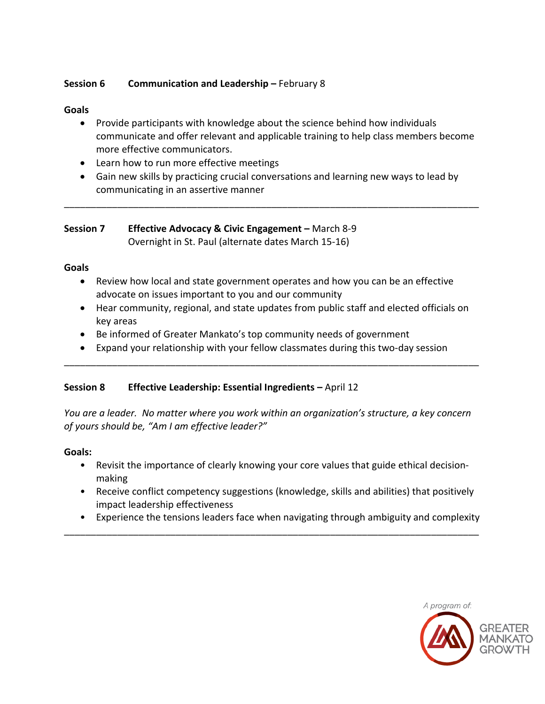#### **Session 6 Communication and Leadership –** February 8

#### **Goals**

- Provide participants with knowledge about the science behind how individuals communicate and offer relevant and applicable training to help class members become more effective communicators.
- Learn how to run more effective meetings
- Gain new skills by practicing crucial conversations and learning new ways to lead by communicating in an assertive manner

\_\_\_\_\_\_\_\_\_\_\_\_\_\_\_\_\_\_\_\_\_\_\_\_\_\_\_\_\_\_\_\_\_\_\_\_\_\_\_\_\_\_\_\_\_\_\_\_\_\_\_\_\_\_\_\_\_\_\_\_\_\_\_\_\_\_\_\_\_\_\_\_\_\_\_\_\_\_

#### **Session 7 Effective Advocacy & Civic Engagement –** March 8-9 Overnight in St. Paul (alternate dates March 15-16)

#### **Goals**

- Review how local and state government operates and how you can be an effective advocate on issues important to you and our community
- Hear community, regional, and state updates from public staff and elected officials on key areas
- Be informed of Greater Mankato's top community needs of government
- Expand your relationship with your fellow classmates during this two-day session

\_\_\_\_\_\_\_\_\_\_\_\_\_\_\_\_\_\_\_\_\_\_\_\_\_\_\_\_\_\_\_\_\_\_\_\_\_\_\_\_\_\_\_\_\_\_\_\_\_\_\_\_\_\_\_\_\_\_\_\_\_\_\_\_\_\_\_\_\_\_\_\_\_\_\_\_\_\_

#### **Session 8 Effective Leadership: Essential Ingredients –** April 12

*You are a leader. No matter where you work within an organization's structure, a key concern of yours should be, "Am I am effective leader?"* 

#### **Goals:**

- Revisit the importance of clearly knowing your core values that guide ethical decisionmaking
- Receive conflict competency suggestions (knowledge, skills and abilities) that positively impact leadership effectiveness
- Experience the tensions leaders face when navigating through ambiguity and complexity

\_\_\_\_\_\_\_\_\_\_\_\_\_\_\_\_\_\_\_\_\_\_\_\_\_\_\_\_\_\_\_\_\_\_\_\_\_\_\_\_\_\_\_\_\_\_\_\_\_\_\_\_\_\_\_\_\_\_\_\_\_\_\_\_\_\_\_\_\_\_\_\_\_\_\_\_\_\_